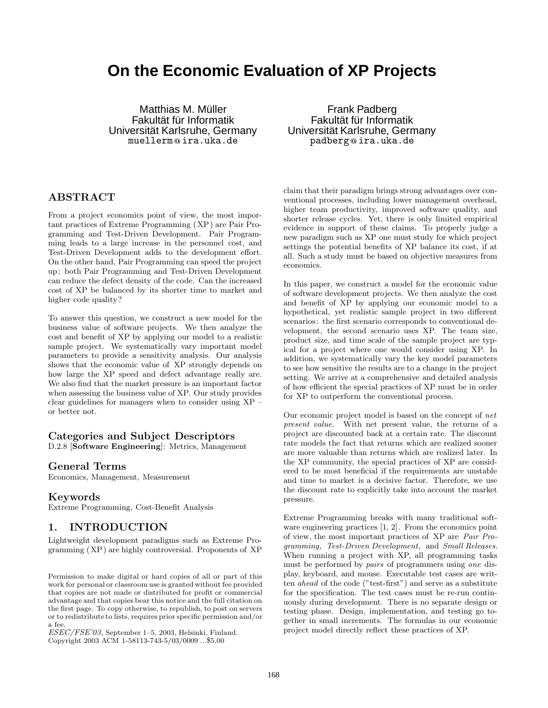# **On the Economic Evaluation of XP Projects**

Matthias M. Müller Fakultät für Informatik Universität Karlsruhe, Germany muellerm**@** ira.uka.de

**ABSTRACT**

From a project economics point of view, the most important practices of Extreme Programming (XP ) are Pair Programming and Test-Driven Development. Pair Programming leads to a large increase in the personnel cost, and Test-Driven Development adds to the development effort. On the other hand, Pair Programming can speed the project up; both Pair Programming and Test-Driven Development can reduce the defect density of the code. Can the increased cost of XP be balanced by its shorter time to market and higher code quality?

To answer this question, we construct a new model for the business value of software projects. We then analyze the cost and benefit of XP by applying our model to a realistic sample project. We systematically vary important model parameters to provide a sensitivity analysis. Our analysis shows that the economic value of XP strongly depends on how large the XP speed and defect advantage really are. We also find that the market pressure is an important factor when assessing the business value of XP. Our study provides clear guidelines for managers when to consider using XP – or better not.

## **Categories and Subject Descriptors**

D.2.8 [**Software Engineering**]: Metrics, Management

## **General Terms**

Economics, Management, Measurement

### **Keywords**

Extreme Programming, Cost-Benefit Analysis

## **1. INTRODUCTION**

Lightweight development paradigms such as Extreme Programming (XP ) are highly controversial. Proponents of XP

*ESEC/FSE'03,* September 1–5, 2003, Helsinki, Finland. Copyright 2003 ACM 1-58113-743-5/03/0009 ...\$5.00

Universität Karlsruhe, Germany padberg**@** ira.uka.de

Frank Padberg Fakultät für Informatik

claim that their paradigm brings strong advantages over conventional processes, including lower management overhead, higher team productivity, improved software quality, and shorter release cycles. Yet, there is only limited empirical evidence in support of these claims. To properly judge a new paradigm such as XP one must study for which project settings the potential benefits of XP balance its cost, if at all. Such a study must be based on objective measures from economics.

In this paper, we construct a model for the economic value of software development projects. We then analyze the cost and benefit of XP by applying our economic model to a hypothetical, yet realistic sample project in two different scenarios: the first scenario corresponds to conventional development, the second scenario uses XP. The team size, product size, and time scale of the sample project are typical for a project where one would consider using XP. In addition, we systematically vary the key model parameters to see how sensitive the results are to a change in the project setting. We arrive at a comprehensive and detailed analysis of how efficient the special practices of XP must be in order for XP to outperform the conventional process.

Our economic project model is based on the concept of *net present value.* With net present value, the returns of a project are discounted back at a certain rate. The discount rate models the fact that returns which are realized sooner are more valuable than returns which are realized later. In the XP community, the special practices of XP are considered to be most beneficial if the requirements are unstable and time to market is a decisive factor. Therefore, we use the discount rate to explicitly take into account the market pressure.

Extreme Programming breaks with many traditional software engineering practices [1, 2]. From the economics point of view, the most important practices of XP are *Pair Programming, Test-Driven Development,* and *Small Releases.* When running a project with XP, all programming tasks must be performed by *pairs* of programmers using *one* display, keyboard, and mouse. Executable test cases are written *ahead* of the code ("test-first") and serve as a substitute for the specification. The test cases must be re-run continuously during development. There is no separate design or testing phase. Design, implementation, and testing go together in small increments. The formulas in our economic project model directly reflect these practices of XP.

Permission to make digital or hard copies of all or part of this work for personal or classroom use is granted without fee provided that copies are not made or distributed for profit or commercial advantage and that copies bear this notice and the full citation on the first page. To copy otherwise, to republish, to post on servers or to redistribute to lists, requires prior specific permission and/or a fee.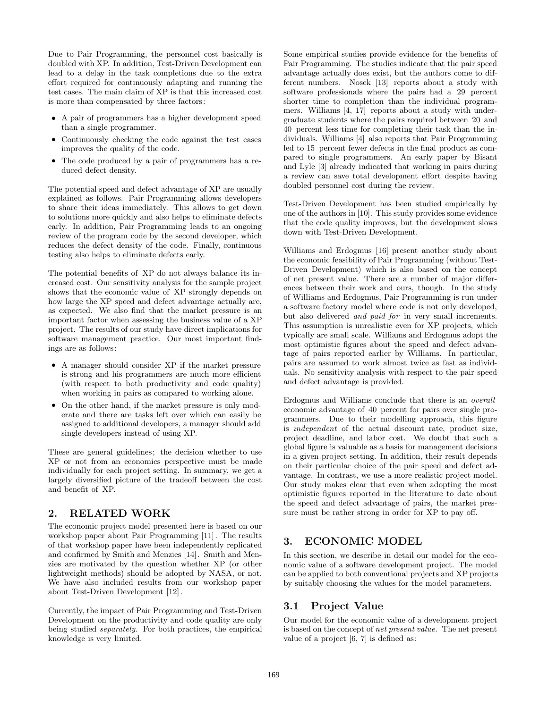Due to Pair Programming, the personnel cost basically is doubled with XP. In addition, Test-Driven Development can lead to a delay in the task completions due to the extra effort required for continuously adapting and running the test cases. The main claim of XP is that this increased cost is more than compensated by three factors:

- *•* A pair of programmers has a higher development speed than a single programmer.
- *•* Continuously checking the code against the test cases improves the quality of the code.
- *•* The code produced by a pair of programmers has a reduced defect density.

The potential speed and defect advantage of XP are usually explained as follows. Pair Programming allows developers to share their ideas immediately. This allows to get down to solutions more quickly and also helps to eliminate defects early. In addition, Pair Programming leads to an ongoing review of the program code by the second developer, which reduces the defect density of the code. Finally, continuous testing also helps to eliminate defects early.

The potential benefits of XP do not always balance its increased cost. Our sensitivity analysis for the sample project shows that the economic value of XP strongly depends on how large the XP speed and defect advantage actually are, as expected. We also find that the market pressure is an important factor when assessing the business value of a XP project. The results of our study have direct implications for software management practice. Our most important findings are as follows:

- *•* A manager should consider XP if the market pressure is strong and his programmers are much more efficient (with respect to both productivity and code quality) when working in pairs as compared to working alone.
- On the other hand, if the market pressure is only moderate and there are tasks left over which can easily be assigned to additional developers, a manager should add single developers instead of using XP.

These are general guidelines; the decision whether to use XP or not from an economics perspective must be made individually for each project setting. In summary, we get a largely diversified picture of the tradeoff between the cost and benefit of XP.

# **2. RELATED WORK**

The economic project model presented here is based on our workshop paper about Pair Programming [11]. The results of that workshop paper have been independently replicated and confirmed by Smith and Menzies [14]. Smith and Menzies are motivated by the question whether XP (or other lightweight methods) should be adopted by NASA, or not. We have also included results from our workshop paper about Test-Driven Development [12].

Currently, the impact of Pair Programming and Test-Driven Development on the productivity and code quality are only being studied *separately.* For both practices, the empirical knowledge is very limited.

Some empirical studies provide evidence for the benefits of Pair Programming. The studies indicate that the pair speed advantage actually does exist, but the authors come to different numbers. Nosek [13] reports about a study with software professionals where the pairs had a 29 percent shorter time to completion than the individual programmers. Williams [4, 17] reports about a study with undergraduate students where the pairs required between 20 and 40 percent less time for completing their task than the individuals. Williams [4] also reports that Pair Programming led to 15 percent fewer defects in the final product as compared to single programmers. An early paper by Bisant and Lyle [3] already indicated that working in pairs during a review can save total development effort despite having doubled personnel cost during the review.

Test-Driven Development has been studied empirically by one of the authors in [10]. This study provides some evidence that the code quality improves, but the development slows down with Test-Driven Development.

Williams and Erdogmus [16] present another study about the economic feasibility of Pair Programming (without Test-Driven Development) which is also based on the concept of net present value. There are a number of major differences between their work and ours, though. In the study of Williams and Erdogmus, Pair Programming is run under a software factory model where code is not only developed, but also delivered *and paid for* in very small increments. This assumption is unrealistic even for XP projects, which typically are small scale. Williams and Erdogmus adopt the most optimistic figures about the speed and defect advantage of pairs reported earlier by Williams. In particular, pairs are assumed to work almost twice as fast as individuals. No sensitivity analysis with respect to the pair speed and defect advantage is provided.

Erdogmus and Williams conclude that there is an *overall* economic advantage of 40 percent for pairs over single programmers. Due to their modelling approach, this figure is *independent* of the actual discount rate, product size, project deadline, and labor cost. We doubt that such a global figure is valuable as a basis for management decisions in a given project setting. In addition, their result depends on their particular choice of the pair speed and defect advantage. In contrast, we use a more realistic project model. Our study makes clear that even when adopting the most optimistic figures reported in the literature to date about the speed and defect advantage of pairs, the market pressure must be rather strong in order for XP to pay off.

# **3. ECONOMIC MODEL**

In this section, we describe in detail our model for the economic value of a software development project. The model can be applied to both conventional projects and XP projects by suitably choosing the values for the model parameters.

# **3.1 Project Value**

Our model for the economic value of a development project is based on the concept of *net present value.* The net present value of a project [6, 7] is defined as: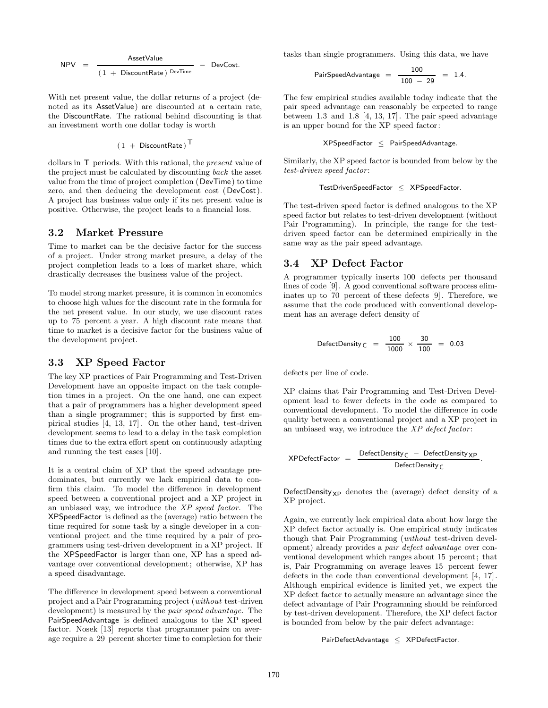$$
NPV = \frac{AssetValue}{(1 + DiscountRate)^{DevTime}} - DevCost.
$$

With net present value, the dollar returns of a project (denoted as its AssetValue) are discounted at a certain rate, the DiscountRate. The rational behind discounting is that an investment worth one dollar today is worth

# $(1 + \text{DiscountRate})^{\top}$

dollars in T periods. With this rational, the *present* value of the project must be calculated by discounting *back* the asset value from the time of project completion (DevTime) to time zero, and then deducing the development cost (DevCost ). A project has business value only if its net present value is positive. Otherwise, the project leads to a financial loss.

### **3.2 Market Pressure**

Time to market can be the decisive factor for the success of a project. Under strong market presure, a delay of the project completion leads to a loss of market share, which drastically decreases the business value of the project.

To model strong market pressure, it is common in economics to choose high values for the discount rate in the formula for the net present value. In our study, we use discount rates up to 75 percent a year. A high discount rate means that time to market is a decisive factor for the business value of the development project.

## **3.3 XP Speed Factor**

The key XP practices of Pair Programming and Test-Driven Development have an opposite impact on the task completion times in a project. On the one hand, one can expect that a pair of programmers has a higher development speed than a single programmer; this is supported by first empirical studies [4, 13, 17]. On the other hand, test-driven development seems to lead to a delay in the task completion times due to the extra effort spent on continuously adapting and running the test cases [10].

It is a central claim of XP that the speed advantage predominates, but currently we lack empirical data to confirm this claim. To model the difference in development speed between a conventional project and a XP project in an unbiased way, we introduce the *XP speed factor.* The XPSpeedFactor is defined as the (average) ratio between the time required for some task by a single developer in a conventional project and the time required by a pair of programmers using test-driven development in a XP project. If the XPSpeedFactor is larger than one, XP has a speed advantage over conventional development; otherwise, XP has a speed disadvantage.

The difference in development speed between a conventional project and a Pair Programming project (*without* test-driven development) is measured by the *pair speed advantage.* The PairSpeedAdvantage is defined analogous to the XP speed factor. Nosek [13] reports that programmer pairs on average require a 29 percent shorter time to completion for their tasks than single programmers. Using this data, we have

$$
PairSpeedAdvantage = \frac{100}{100 - 29} = 1.4.
$$

The few empirical studies available today indicate that the pair speed advantage can reasonably be expected to range between 1*.*3 and 1*.*8 [4, 13, 17]. The pair speed advantage is an upper bound for the XP speed factor:

XPSpeedFactor ≤ PairSpeedAdvantage*.*

Similarly, the XP speed factor is bounded from below by the *test-driven speed factor*:

$$
Test Driven SpeedFactor \leq XPSpeedFactor.
$$

The test-driven speed factor is defined analogous to the XP speed factor but relates to test-driven development (without Pair Programming). In principle, the range for the testdriven speed factor can be determined empirically in the same way as the pair speed advantage.

#### **3.4 XP Defect Factor**

A programmer typically inserts 100 defects per thousand lines of code [9]. A good conventional software process eliminates up to 70 percent of these defects [9]. Therefore, we assume that the code produced with conventional development has an average defect density of

DefectDensity<sub>C</sub> = 
$$
\frac{100}{1000} \times \frac{30}{100} = 0.03
$$

defects per line of code.

XP claims that Pair Programming and Test-Driven Development lead to fewer defects in the code as compared to conventional development. To model the difference in code quality between a conventional project and a XP project in an unbiased way, we introduce the *XP defect factor*:

$$
XPDefectFactor = \frac{DefectDensity_C - DefectDensity_{XP}}{DefectDensity_C}
$$

*.*

DefectDensity  $_{XP}$  denotes the (average) defect density of a XP project.

Again, we currently lack empirical data about how large the XP defect factor actually is. One empirical study indicates though that Pair Programming (*without* test-driven development) already provides a *pair defect advantage* over conventional development which ranges about 15 percent; that is, Pair Programming on average leaves 15 percent fewer defects in the code than conventional development [4, 17]. Although empirical evidence is limited yet, we expect the XP defect factor to actually measure an advantage since the defect advantage of Pair Programming should be reinforced by test-driven development. Therefore, the XP defect factor is bounded from below by the pair defect advantage:

```
PairDefectAdvantage ≤ XPDefectFactor.
```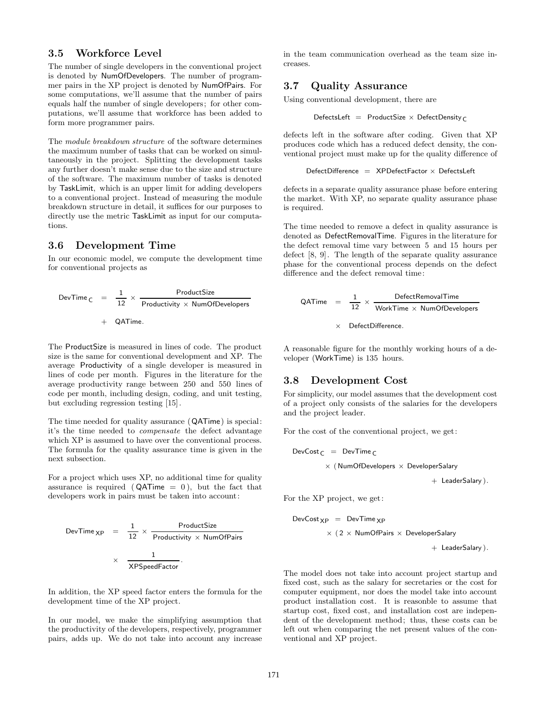## **3.5 Workforce Level**

The number of single developers in the conventional project is denoted by NumOfDevelopers. The number of programmer pairs in the XP project is denoted by NumOfPairs. For some computations, we'll assume that the number of pairs equals half the number of single developers; for other computations, we'll assume that workforce has been added to form more programmer pairs.

The *module breakdown structure* of the software determines the maximum number of tasks that can be worked on simultaneously in the project. Splitting the development tasks any further doesn't make sense due to the size and structure of the software. The maximum number of tasks is denoted by TaskLimit, which is an upper limit for adding developers to a conventional project. Instead of measuring the module breakdown structure in detail, it suffices for our purposes to directly use the metric TaskLimit as input for our computations.

## **3.6 Development Time**

In our economic model, we compute the development time for conventional projects as

$$
DevTime_C = \frac{1}{12} \times \frac{ProductSize}{Productivity \times NumOfDevelopers}
$$
  
+ QATime.

The ProductSize is measured in lines of code. The product size is the same for conventional development and XP. The average Productivity of a single developer is measured in lines of code per month. Figures in the literature for the average productivity range between 250 and 550 lines of code per month, including design, coding, and unit testing, but excluding regression testing [15].

The time needed for quality assurance (QATime) is special: it's the time needed to *compensate* the defect advantage which XP is assumed to have over the conventional process. The formula for the quality assurance time is given in the next subsection.

For a project which uses XP, no additional time for quality assurance is required ( $QATime = 0$ ), but the fact that developers work in pairs must be taken into account:

$$
DevTime_{XP} = \frac{1}{12} \times \frac{ProductSize}{Productivity \times NumOfPairs}
$$

$$
\times \frac{1}{XPSpeedFactor}.
$$

In addition, the XP speed factor enters the formula for the development time of the XP project.

In our model, we make the simplifying assumption that the productivity of the developers, respectively, programmer pairs, adds up. We do not take into account any increase in the team communication overhead as the team size increases.

## **3.7 Quality Assurance**

Using conventional development, there are

$$
DefectsLeft = ProductSize \times DefectDensity_{C}
$$

defects left in the software after coding. Given that XP produces code which has a reduced defect density, the conventional project must make up for the quality difference of

```
DefectDifference = XPDefectFactor \times DefectSet
```
defects in a separate quality assurance phase before entering the market. With XP, no separate quality assurance phase is required.

The time needed to remove a defect in quality assurance is denoted as DefectRemovalTime. Figures in the literature for the defect removal time vary between 5 and 15 hours per defect [8, 9]. The length of the separate quality assurance phase for the conventional process depends on the defect difference and the defect removal time:

QATime = 
$$
\frac{1}{12} \times \frac{\text{DefectRemovalTime}}{\text{WorkTime} \times \text{NumOfDevelopers}}
$$
  
  $\times \text{DefectDifference.}$ 

A reasonable figure for the monthly working hours of a developer (WorkTime) is 135 hours.

## **3.8 Development Cost**

For simplicity, our model assumes that the development cost of a project only consists of the salaries for the developers and the project leader.

For the cost of the conventional project, we get:

$$
DevCost_C = DevTime_C
$$

 $\times$  (NumOfDevelopers  $\times$  DeveloperSalary

+ LeaderSalary )*.*

For the XP project, we get:

$$
\mathsf{DevCost}_{\mathsf{XP}}~=~\mathsf{DevTime}_{\mathsf{XP}}
$$

 $\times$  (2  $\times$  NumOfPairs  $\times$  DeveloperSalary

+ LeaderSalary )*.*

The model does not take into account project startup and fixed cost, such as the salary for secretaries or the cost for computer equipment, nor does the model take into account product installation cost. It is reasonble to assume that startup cost, fixed cost, and installation cost are independent of the development method; thus, these costs can be left out when comparing the net present values of the conventional and XP project.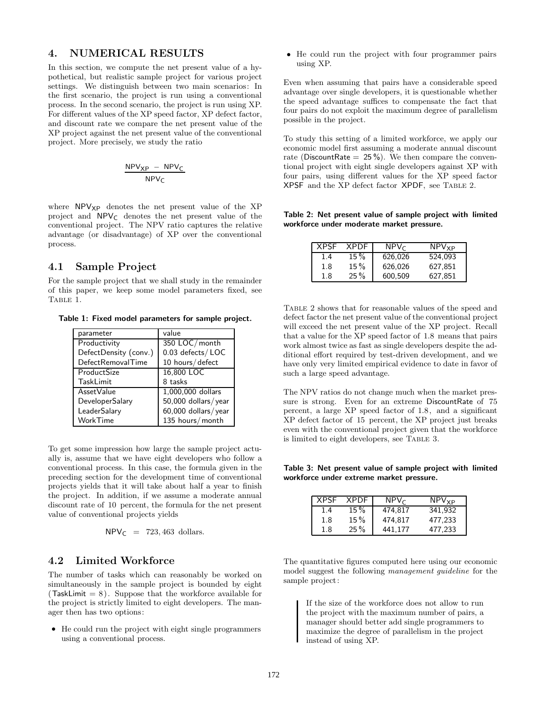## **4. NUMERICAL RESULTS**

In this section, we compute the net present value of a hypothetical, but realistic sample project for various project settings. We distinguish between two main scenarios: In the first scenario, the project is run using a conventional process. In the second scenario, the project is run using XP. For different values of the XP speed factor, XP defect factor, and discount rate we compare the net present value of the XP project against the net present value of the conventional project. More precisely, we study the ratio

$$
\frac{\text{NPV}_{XP}~-~\text{NPV}_{C}}{\text{NPV}_{C}}
$$

where  $NPV_{XP}$  denotes the net present value of the XP project and  $NPV_C$  denotes the net present value of the conventional project. The NPV ratio captures the relative advantage (or disadvantage) of XP over the conventional process.

## **4.1 Sample Project**

For the sample project that we shall study in the remainder of this paper, we keep some model parameters fixed, see Table 1.

**Table 1: Fixed model parameters for sample project.**

| parameter             | value               |
|-----------------------|---------------------|
| Productivity          | 350 LOC/month       |
| DefectDensity (conv.) | 0.03 defects/LOC    |
| DefectRemovalTime     | 10 hours/defect     |
| ProductSize           | 16,800 LOC          |
| TaskLimit             | 8 tasks             |
| AssetValue            | 1,000,000 dollars   |
| DeveloperSalary       | 50,000 dollars/year |
| LeaderSalary          | 60,000 dollars/year |
| WorkTime              | 135 hours/month     |

To get some impression how large the sample project actually is, assume that we have eight developers who follow a conventional process. In this case, the formula given in the preceding section for the development time of conventional projects yields that it will take about half a year to finish the project. In addition, if we assume a moderate annual discount rate of 10 percent, the formula for the net present value of conventional projects yields

$$
\text{NPV}_\text{C} = 723,463 \text{ dollars.}
$$

## **4.2 Limited Workforce**

The number of tasks which can reasonably be worked on simultaneously in the sample project is bounded by eight (TaskLimit  $= 8$ ). Suppose that the workforce available for the project is strictly limited to eight developers. The manager then has two options:

*•* He could run the project with eight single programmers using a conventional process.

*•* He could run the project with four programmer pairs using XP.

Even when assuming that pairs have a considerable speed advantage over single developers, it is questionable whether the speed advantage suffices to compensate the fact that four pairs do not exploit the maximum degree of parallelism possible in the project.

To study this setting of a limited workforce, we apply our economic model first assuming a moderate annual discount rate (DiscountRate =  $25\%$ ). We then compare the conventional project with eight single developers against XP with four pairs, using different values for the XP speed factor XPSF and the XP defect factor XPDF, see Table 2.

**Table 2: Net present value of sample project with limited workforce under moderate market pressure.**

| <b>XPSF</b> | XPDF   | $NPV_C$ | $NPV_{XP}$ |
|-------------|--------|---------|------------|
| 14          | $15\%$ | 626.026 | 524.093    |
| 1.8         | $15\%$ | 626.026 | 627.851    |
| 1.8         | $25\%$ | 600.509 | 627,851    |

Table 2 shows that for reasonable values of the speed and defect factor the net present value of the conventional project will exceed the net present value of the XP project. Recall that a value for the XP speed factor of 1*.*8 means that pairs work almost twice as fast as single developers despite the additional effort required by test-driven development, and we have only very limited empirical evidence to date in favor of such a large speed advantage.

The NPV ratios do not change much when the market pressure is strong. Even for an extreme DiscountRate of 75 percent, a large XP speed factor of 1*.*8, and a significant XP defect factor of 15 percent, the XP project just breaks even with the conventional project given that the workforce is limited to eight developers, see Table 3.

**Table 3: Net present value of sample project with limited workforce under extreme market pressure.**

| <b>XPSF</b> | XPDF   | $NPV_C$ | <b>NPV<sub>XP</sub></b> |
|-------------|--------|---------|-------------------------|
| 1.4         | $15\%$ | 474.817 | 341,932                 |
| 1.8         | $15\%$ | 474.817 | 477.233                 |
| 1.8         | $25\%$ | 441.177 | 477.233                 |

The quantitative figures computed here using our economic model suggest the following *management guideline* for the sample project:

> If the size of the workforce does not allow to run the project with the maximum number of pairs, a manager should better add single programmers to maximize the degree of parallelism in the project instead of using XP.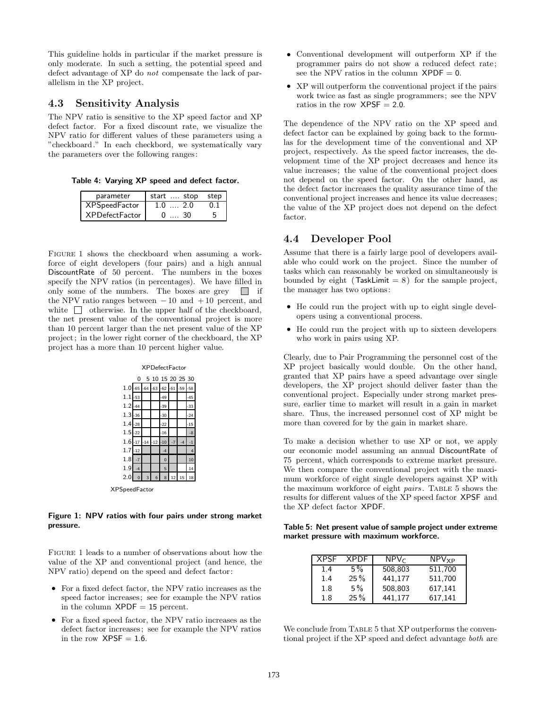This guideline holds in particular if the market pressure is only moderate. In such a setting, the potential speed and defect advantage of XP do *not* compensate the lack of parallelism in the XP project.

## **4.3 Sensitivity Analysis**

The NPV ratio is sensitive to the XP speed factor and XP defect factor. For a fixed discount rate, we visualize the NPV ratio for different values of these parameters using a "checkboard." In each checkbord, we systematically vary the parameters over the following ranges:

**Table 4: Varying XP speed and defect factor.**

| parameter             | start  stop         | step |
|-----------------------|---------------------|------|
| <b>XPSpeedFactor</b>  | $\ldots$ 2.0<br>1.0 | 01   |
| <b>XPDefectFactor</b> | $\sim$ 30           |      |

FIGURE 1 shows the checkboard when assuming a workforce of eight developers (four pairs) and a high annual DiscountRate of 50 percent. The numbers in the boxes specify the NPV ratios (in percentages). We have filled in only some of the numbers. The boxes are grey  $\Box$  if the NPV ratio ranges between *−* 10 and + 10 percent, and white  $\Box$  otherwise. In the upper half of the checkboard, the net present value of the conventional project is more than 10 percent larger than the net present value of the XP project; in the lower right corner of the checkboard, the XP project has a more than 10 percent higher value.



**Figure 1: NPV ratios with four pairs under strong market pressure.**

FIGURE 1 leads to a number of observations about how the value of the XP and conventional project (and hence, the NPV ratio) depend on the speed and defect factor:

- *•* For a fixed defect factor, the NPV ratio increases as the speed factor increases; see for example the NPV ratios in the column  $XPDF = 15$  percent.
- *•* For a fixed speed factor, the NPV ratio increases as the defect factor increases; see for example the NPV ratios in the row  $XPSF = 1.6$ .
- *•* Conventional development will outperform XP if the programmer pairs do not show a reduced defect rate; see the NPV ratios in the column  $\text{XPDF} = 0$ .
- *•* XP will outperform the conventional project if the pairs work twice as fast as single programmers; see the NPV ratios in the row  $XPSF = 2.0$ .

The dependence of the NPV ratio on the XP speed and defect factor can be explained by going back to the formulas for the development time of the conventional and XP project, respectively. As the speed factor increases, the development time of the XP project decreases and hence its value increases; the value of the conventional project does not depend on the speed factor. On the other hand, as the defect factor increases the quality assurance time of the conventional project increases and hence its value decreases; the value of the XP project does not depend on the defect factor.

## **4.4 Developer Pool**

Assume that there is a fairly large pool of developers available who could work on the project. Since the number of tasks which can reasonably be worked on simultaneously is bounded by eight ( $TaskLimit = 8$ ) for the sample project, the manager has two options:

- *•* He could run the project with up to eight single developers using a conventional process.
- *•* He could run the project with up to sixteen developers who work in pairs using XP.

Clearly, due to Pair Programming the personnel cost of the XP project basically would double. On the other hand, granted that XP pairs have a speed advantage over single developers, the XP project should deliver faster than the conventional project. Especially under strong market pressure, earlier time to market will result in a gain in market share. Thus, the increased personnel cost of XP might be more than covered for by the gain in market share.

To make a decision whether to use XP or not, we apply our economic model assuming an annual DiscountRate of 75 percent, which corresponds to extreme market pressure. We then compare the conventional project with the maximum workforce of eight single developers against XP with the maximum workforce of eight *pairs* . Table 5 shows the results for different values of the XP speed factor XPSF and the XP defect factor XPDF.

**Table 5: Net present value of sample project under extreme market pressure with maximum workforce.**

| <b>XPSF</b> | <b>XPDF</b> | $NPV_C$ | $NPV_{XP}$ |
|-------------|-------------|---------|------------|
| 1.4         | $5\%$       | 508.803 | 511.700    |
| 1.4         | $25\%$      | 441.177 | 511.700    |
| 1.8         | $5\%$       | 508.803 | 617.141    |
| 1.8         | $25\%$      | 441,177 | 617.141    |

We conclude from TABLE 5 that XP outperforms the conventional project if the XP speed and defect advantage *both* are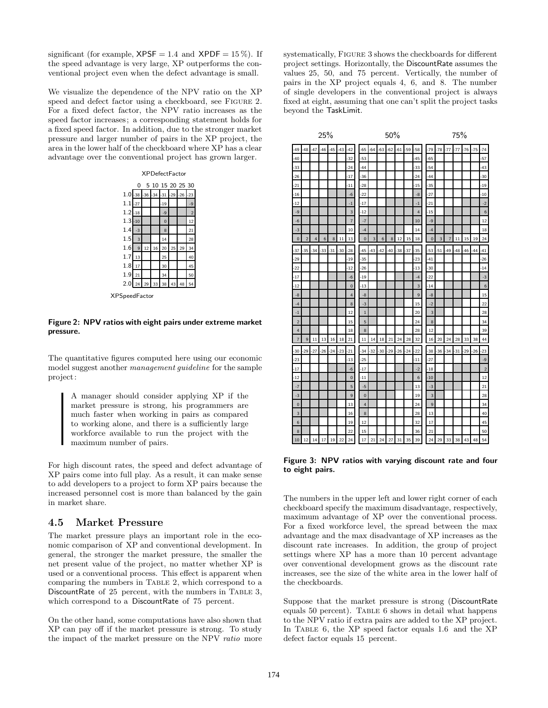significant (for example,  $XPSF = 1.4$  and  $XPDF = 15\%$ ). If the speed advantage is very large, XP outperforms the conventional project even when the defect advantage is small.

We visualize the dependence of the NPV ratio on the XP speed and defect factor using a checkboard, see FIGURE 2. For a fixed defect factor, the NPV ratio increases as the speed factor increases; a corresponding statement holds for a fixed speed factor. In addition, due to the stronger market pressure and larger number of pairs in the XP project, the area in the lower half of the checkboard where XP has a clear advantage over the conventional project has grown larger.



**XPSpeedFactor** 

#### **Figure 2: NPV ratios with eight pairs under extreme market pressure.**

The quantitative figures computed here using our economic model suggest another *management guideline* for the sample project:

> A manager should consider applying XP if the market pressure is strong, his programmers are much faster when working in pairs as compared to working alone, and there is a sufficiently large workforce available to run the project with the maximum number of pairs.

For high discount rates, the speed and defect advantage of XP pairs come into full play. As a result, it can make sense to add developers to a project to form XP pairs because the increased personnel cost is more than balanced by the gain in market share.

## **4.5 Market Pressure**

The market pressure plays an important role in the economic comparison of XP and conventional development. In general, the stronger the market pressure, the smaller the net present value of the project, no matter whether XP is used or a conventional process. This effect is apparent when comparing the numbers in Table 2, which correspond to a DiscountRate of 25 percent, with the numbers in TABLE 3, which correspond to a DiscountRate of 75 percent.

On the other hand, some computations have also shown that XP can pay off if the market pressure is strong. To study the impact of the market pressure on the NPV *ratio* more

systematically, Figure 3 shows the checkboards for different project settings. Horizontally, the DiscountRate assumes the values 25, 50, and 75 percent. Vertically, the number of pairs in the XP project equals 4, 6, and 8. The number of single developers in the conventional project is always fixed at eight, assuming that one can't split the project tasks beyond the TaskLimit.



**Figure 3: NPV ratios with varying discount rate and four to eight pairs.**

The numbers in the upper left and lower right corner of each checkboard specify the maximum disadvantage, respectively, maximum advantage of XP over the conventional process. For a fixed workforce level, the spread between the max advantage and the max disadvantage of XP increases as the discount rate increases. In addition, the group of project settings where XP has a more than 10 percent advantage over conventional development grows as the discount rate increases, see the size of the white area in the lower half of the checkboards.

Suppose that the market pressure is strong (DiscountRate equals 50 percent). Table 6 shows in detail what happens to the NPV ratio if extra pairs are added to the XP project. In Table 6, the XP speed factor equals 1*.*6 and the XP defect factor equals 15 percent.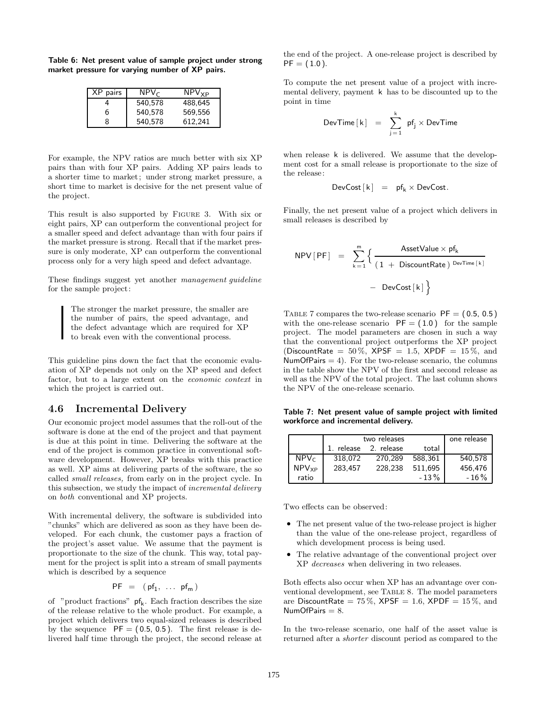**Table 6: Net present value of sample project under strong market pressure for varying number of XP pairs.**

| XP pairs | $NPV_C$ | $NPV_{XP}$ |
|----------|---------|------------|
|          | 540,578 | 488,645    |
| 6        | 540,578 | 569,556    |
| 8        | 540,578 | 612,241    |

For example, the NPV ratios are much better with six XP pairs than with four XP pairs. Adding XP pairs leads to a shorter time to market; under strong market pressure, a short time to market is decisive for the net present value of the project.

This result is also supported by Figure 3. With six or eight pairs, XP can outperform the conventional project for a smaller speed and defect advantage than with four pairs if the market pressure is strong. Recall that if the market pressure is only moderate, XP can outperform the conventional process only for a very high speed and defect advantage.

These findings suggest yet another *management guideline* for the sample project:

The stronger the market pressure, the smaller are the number of pairs, the speed advantage, and the defect advantage which are required for XP to break even with the conventional process.

This guideline pins down the fact that the economic evaluation of XP depends not only on the XP speed and defect factor, but to a large extent on the *economic context* in which the project is carried out.

## **4.6 Incremental Delivery**

Our economic project model assumes that the roll-out of the software is done at the end of the project and that payment is due at this point in time. Delivering the software at the end of the project is common practice in conventional software development. However, XP breaks with this practice as well. XP aims at delivering parts of the software, the so called *small releases,* from early on in the project cycle. In this subsection, we study the impact of *incremental delivery* on *both* conventional and XP projects.

With incremental delivery, the software is subdivided into "chunks" which are delivered as soon as they have been developed. For each chunk, the customer pays a fraction of the project's asset value. We assume that the payment is proportionate to the size of the chunk. This way, total payment for the project is split into a stream of small payments which is described by a sequence

$$
\mathsf{PF}~=~(\,\mathsf{pf}_1,~\ldots~\mathsf{pf}_m\,)
$$

of "product fractions"  $pf_k$ . Each fraction describes the size of the release relative to the whole product. For example, a project which delivers two equal-sized releases is described by the sequence  $PF = (0.5, 0.5)$ . The first release is delivered half time through the project, the second release at the end of the project. A one-release project is described by  $PF = (1.0)$ .

To compute the net present value of a project with incremental delivery, payment k has to be discounted up to the point in time

$$
DevTime[k] = \sum_{j=1}^{k} pf_j \times DevTime
$$

when release k is delivered. We assume that the development cost for a small release is proportionate to the size of the release:

$$
DevCost[k] = pf_k \times DevCost.
$$

Finally, the net present value of a project which delivers in small releases is described by

$$
NPV[PF] = \sum_{k=1}^{m} \left\{ \frac{A\text{ssetValue} \times pf_k}{(1 + \text{DiscountRate})^{\text{DevTime}[k]}} - \text{DevCost}[k] \right\}
$$

TABLE 7 compares the two-release scenario  $PF = (0.5, 0.5)$ with the one-release scenario  $PF = (1.0)$  for the sample project. The model parameters are chosen in such a way that the conventional project outperforms the XP project (DiscountRate =  $50\%$ , XPSF = 1.5, XPDF =  $15\%$ , and NumOfPairs  $= 4$ ). For the two-release scenario, the columns in the table show the NPV of the first and second release as well as the NPV of the total project. The last column shows the NPV of the one-release scenario.

**Table 7: Net present value of sample project with limited workforce and incremental delivery.**

|            | two releases |            |         | one release |
|------------|--------------|------------|---------|-------------|
|            | 1. release   | 2. release | total   |             |
| $NPV_c$    | 318.072      | 270.289    | 588,361 | 540.578     |
| $NPV_{XP}$ | 283.457      | 228.238    | 511,695 | 456,476     |
| ratio      |              |            | $-13\%$ | $-16\%$     |

Two effects can be observed:

- *•* The net present value of the two-release project is higher than the value of the one-release project, regardless of which development process is being used.
- *•* The relative advantage of the conventional project over XP *decreases* when delivering in two releases.

Both effects also occur when XP has an advantage over conventional development, see Table 8. The model parameters are DiscountRate =  $75\%$ , XPSF = 1.6, XPDF =  $15\%$ , and NumOfPairs  $= 8$ .

In the two-release scenario, one half of the asset value is returned after a *shorter* discount period as compared to the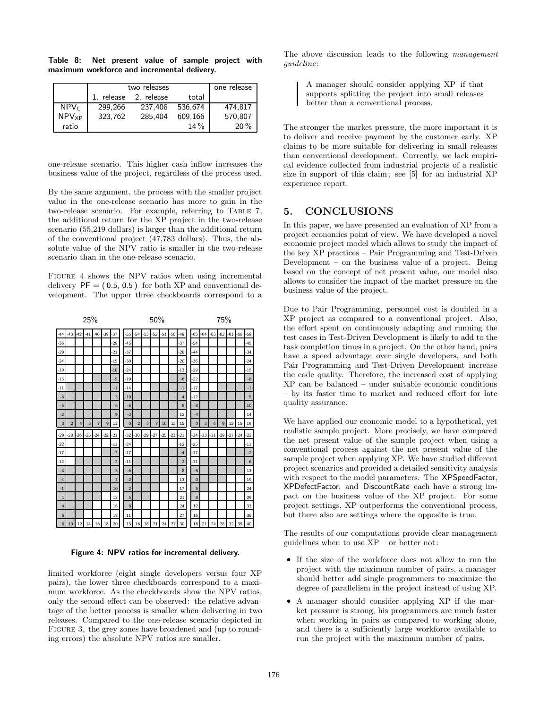**Table 8: Net present value of sample project with maximum workforce and incremental delivery.**

|                         | two releases |            |         | one release |
|-------------------------|--------------|------------|---------|-------------|
|                         | 1. release   | 2. release | total   |             |
| NPV <sub>c</sub>        | 299.266      | 237.408    | 536.674 | 474.817     |
| <b>NPV<sub>XP</sub></b> | 323.762      | 285.404    | 609.166 | 570,807     |
| ratio                   |              |            | $14\%$  | $20\%$      |

one-release scenario. This higher cash inflow increases the business value of the project, regardless of the process used.

By the same argument, the process with the smaller project value in the one-release scenario has more to gain in the two-release scenario. For example, referring to Table 7, the additional return for the XP project in the two-release scenario (55,219 dollars) is larger than the additional return of the conventional project (47,783 dollars). Thus, the absolute value of the NPV ratio is smaller in the two-release scenario than in the one-release scenario.

Figure 4 shows the NPV ratios when using incremental delivery  $PF = (0.5, 0.5)$  for both XP and conventional development. The upper three checkboards correspond to a



**Figure 4: NPV ratios for incremental delivery.**

limited workforce (eight single developers versus four XP pairs), the lower three checkboards correspond to a maximum workforce. As the checkboards show the NPV ratios, only the second effect can be observed: the relative advantage of the better process is smaller when delivering in two releases. Compared to the one-release scenario depicted in FIGURE 3, the grey zones have broadened and (up to rounding errors) the absolute NPV ratios are smaller.

The above discussion leads to the following *management guideline*:

> A manager should consider applying XP if that supports splitting the project into small releases better than a conventional process.

The stronger the market pressure, the more important it is to deliver and receive payment by the customer early. XP claims to be more suitable for delivering in small releases than conventional development. Currently, we lack empirical evidence collected from industrial projects of a realistic size in support of this claim; see [5] for an industrial XP experience report.

# **5. CONCLUSIONS**

In this paper, we have presented an evaluation of XP from a project economics point of view. We have developed a novel economic project model which allows to study the impact of the key XP practices – Pair Programming and Test-Driven Development – on the business value of a project. Being based on the concept of net present value, our model also allows to consider the impact of the market pressure on the business value of the project.

Due to Pair Programming, personnel cost is doubled in a XP project as compared to a conventional project. Also, the effort spent on continuously adapting and running the test cases in Test-Driven Development is likely to add to the task completion times in a project. On the other hand, pairs have a speed advantage over single developers, and both Pair Programming and Test-Driven Development increase the code quality. Therefore, the increased cost of applying XP can be balanced – under suitable economic conditions – by its faster time to market and reduced effort for late quality assurance.

We have applied our economic model to a hypothetical, yet realistic sample project. More precisely, we have compared the net present value of the sample project when using a conventional process against the net present value of the sample project when applying XP. We have studied different project scenarios and provided a detailed sensitivity analysis with respect to the model parameters. The XPSpeedFactor, XPDefectFactor, and DiscountRate each have a strong impact on the business value of the XP project. For some project settings, XP outperforms the conventional process, but there also are settings where the opposite is true.

The results of our computations provide clear management guidelines when to use XP – or better not:

- *•* If the size of the workforce does not allow to run the project with the maximum number of pairs, a manager should better add single programmers to maximize the degree of parallelism in the project instead of using XP.
- *•* A manager should consider applying XP if the market pressure is strong, his programmers are much faster when working in pairs as compared to working alone, and there is a sufficiently large workforce available to run the project with the maximum number of pairs.